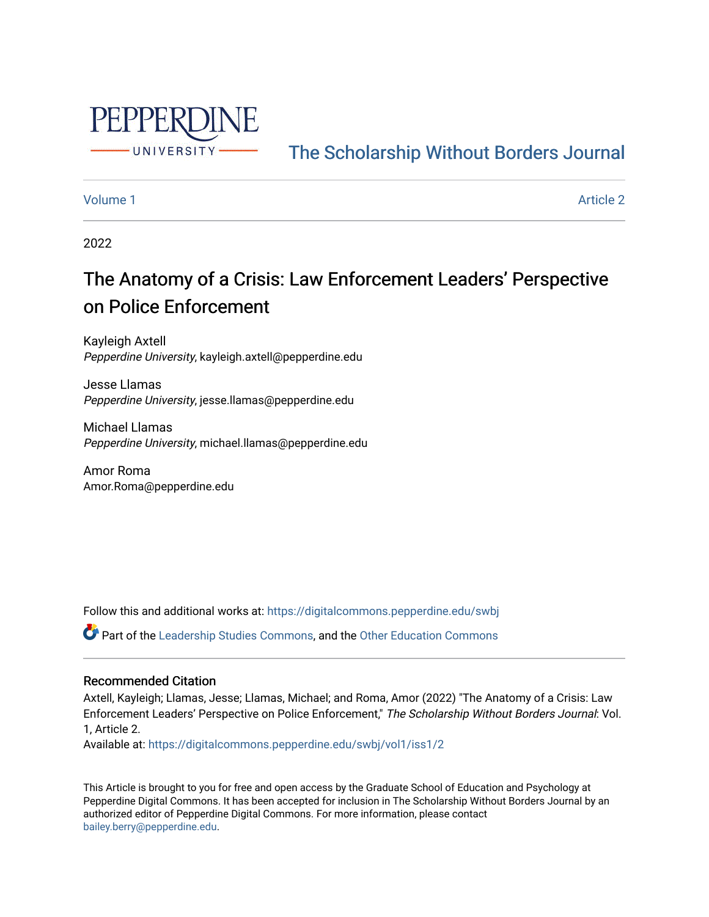

# [The Scholarship Without Borders Journal](https://digitalcommons.pepperdine.edu/swbj)

# [Volume 1](https://digitalcommons.pepperdine.edu/swbj/vol1) Article 2

2022

# The Anatomy of a Crisis: Law Enforcement Leaders' Perspective on Police Enforcement

Kayleigh Axtell Pepperdine University, kayleigh.axtell@pepperdine.edu

Jesse Llamas Pepperdine University, jesse.llamas@pepperdine.edu

Michael Llamas Pepperdine University, michael.llamas@pepperdine.edu

Amor Roma Amor.Roma@pepperdine.edu

Follow this and additional works at: [https://digitalcommons.pepperdine.edu/swbj](https://digitalcommons.pepperdine.edu/swbj?utm_source=digitalcommons.pepperdine.edu%2Fswbj%2Fvol1%2Fiss1%2F2&utm_medium=PDF&utm_campaign=PDFCoverPages)

Part of the [Leadership Studies Commons,](https://network.bepress.com/hgg/discipline/1250?utm_source=digitalcommons.pepperdine.edu%2Fswbj%2Fvol1%2Fiss1%2F2&utm_medium=PDF&utm_campaign=PDFCoverPages) and the [Other Education Commons](https://network.bepress.com/hgg/discipline/811?utm_source=digitalcommons.pepperdine.edu%2Fswbj%2Fvol1%2Fiss1%2F2&utm_medium=PDF&utm_campaign=PDFCoverPages)

# Recommended Citation

Axtell, Kayleigh; Llamas, Jesse; Llamas, Michael; and Roma, Amor (2022) "The Anatomy of a Crisis: Law Enforcement Leaders' Perspective on Police Enforcement," The Scholarship Without Borders Journal: Vol. 1, Article 2.

Available at: [https://digitalcommons.pepperdine.edu/swbj/vol1/iss1/2](https://digitalcommons.pepperdine.edu/swbj/vol1/iss1/2?utm_source=digitalcommons.pepperdine.edu%2Fswbj%2Fvol1%2Fiss1%2F2&utm_medium=PDF&utm_campaign=PDFCoverPages) 

This Article is brought to you for free and open access by the Graduate School of Education and Psychology at Pepperdine Digital Commons. It has been accepted for inclusion in The Scholarship Without Borders Journal by an authorized editor of Pepperdine Digital Commons. For more information, please contact [bailey.berry@pepperdine.edu](mailto:bailey.berry@pepperdine.edu).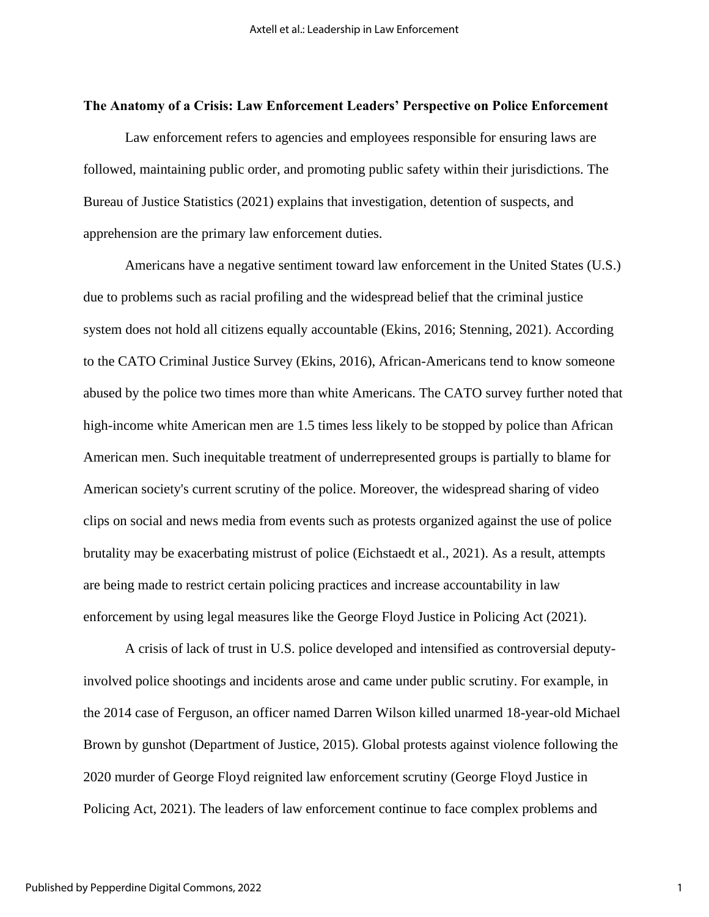#### **The Anatomy of a Crisis: Law Enforcement Leaders' Perspective on Police Enforcement**

Law enforcement refers to agencies and employees responsible for ensuring laws are followed, maintaining public order, and promoting public safety within their jurisdictions. The Bureau of Justice Statistics (2021) explains that investigation, detention of suspects, and apprehension are the primary law enforcement duties.

Americans have a negative sentiment toward law enforcement in the United States (U.S.) due to problems such as racial profiling and the widespread belief that the criminal justice system does not hold all citizens equally accountable (Ekins, 2016; Stenning, 2021). According to the CATO Criminal Justice Survey (Ekins, 2016), African-Americans tend to know someone abused by the police two times more than white Americans. The CATO survey further noted that high-income white American men are 1.5 times less likely to be stopped by police than African American men. Such inequitable treatment of underrepresented groups is partially to blame for American society's current scrutiny of the police. Moreover, the widespread sharing of video clips on social and news media from events such as protests organized against the use of police brutality may be exacerbating mistrust of police (Eichstaedt et al., 2021). As a result, attempts are being made to restrict certain policing practices and increase accountability in law enforcement by using legal measures like the George Floyd Justice in Policing Act (2021).

A crisis of lack of trust in U.S. police developed and intensified as controversial deputyinvolved police shootings and incidents arose and came under public scrutiny. For example, in the 2014 case of Ferguson, an officer named Darren Wilson killed unarmed 18-year-old Michael Brown by gunshot (Department of Justice, 2015). Global protests against violence following the 2020 murder of George Floyd reignited law enforcement scrutiny (George Floyd Justice in Policing Act, 2021). The leaders of law enforcement continue to face complex problems and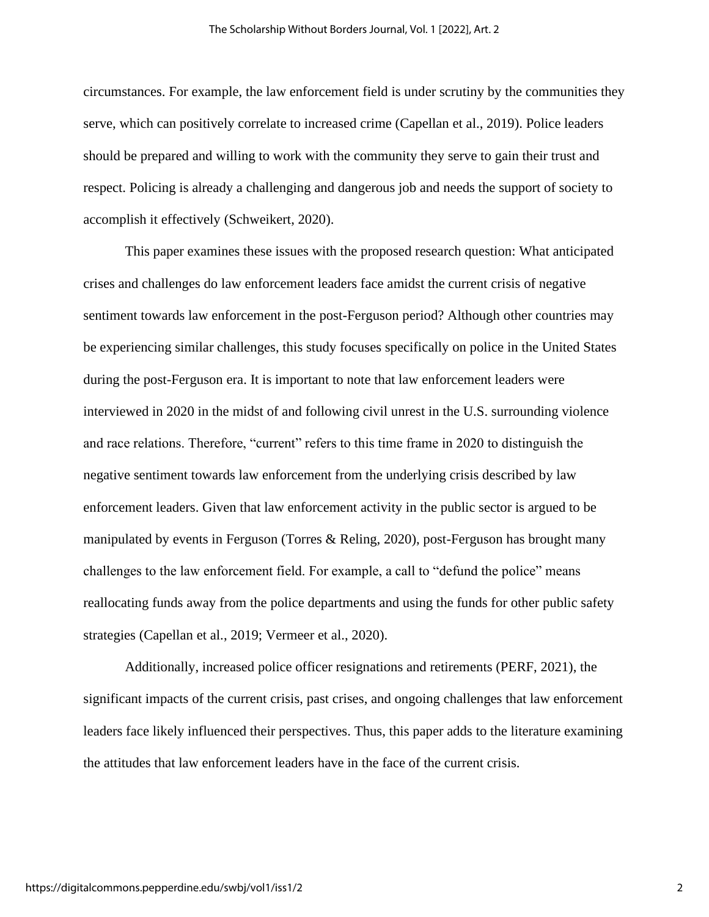circumstances. For example, the law enforcement field is under scrutiny by the communities they serve, which can positively correlate to increased crime (Capellan et al., 2019). Police leaders should be prepared and willing to work with the community they serve to gain their trust and respect. Policing is already a challenging and dangerous job and needs the support of society to accomplish it effectively (Schweikert, 2020).

This paper examines these issues with the proposed research question: What anticipated crises and challenges do law enforcement leaders face amidst the current crisis of negative sentiment towards law enforcement in the post-Ferguson period? Although other countries may be experiencing similar challenges, this study focuses specifically on police in the United States during the post-Ferguson era. It is important to note that law enforcement leaders were interviewed in 2020 in the midst of and following civil unrest in the U.S. surrounding violence and race relations. Therefore, "current" refers to this time frame in 2020 to distinguish the negative sentiment towards law enforcement from the underlying crisis described by law enforcement leaders. Given that law enforcement activity in the public sector is argued to be manipulated by events in Ferguson (Torres & Reling, 2020), post-Ferguson has brought many challenges to the law enforcement field. For example, a call to "defund the police" means reallocating funds away from the police departments and using the funds for other public safety strategies (Capellan et al., 2019; Vermeer et al., 2020).

Additionally, increased police officer resignations and retirements (PERF, 2021), the significant impacts of the current crisis, past crises, and ongoing challenges that law enforcement leaders face likely influenced their perspectives. Thus, this paper adds to the literature examining the attitudes that law enforcement leaders have in the face of the current crisis.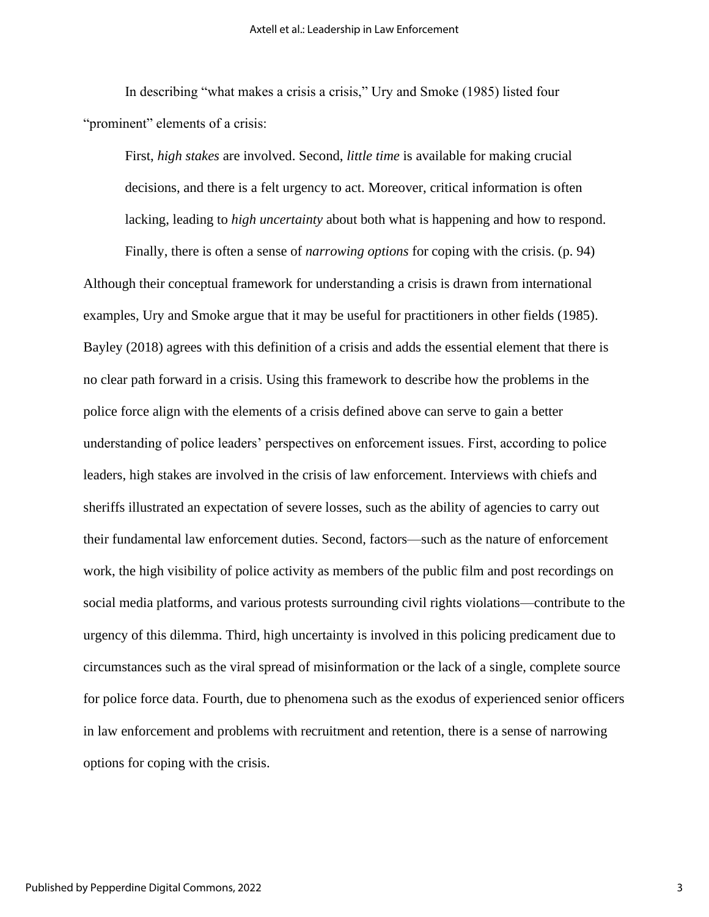In describing "what makes a crisis a crisis," Ury and Smoke (1985) listed four "prominent" elements of a crisis:

First, *high stakes* are involved. Second, *little time* is available for making crucial decisions, and there is a felt urgency to act. Moreover, critical information is often lacking, leading to *high uncertainty* about both what is happening and how to respond.

Finally, there is often a sense of *narrowing options* for coping with the crisis. (p. 94) Although their conceptual framework for understanding a crisis is drawn from international examples, Ury and Smoke argue that it may be useful for practitioners in other fields (1985). Bayley (2018) agrees with this definition of a crisis and adds the essential element that there is no clear path forward in a crisis. Using this framework to describe how the problems in the police force align with the elements of a crisis defined above can serve to gain a better understanding of police leaders' perspectives on enforcement issues. First, according to police leaders, high stakes are involved in the crisis of law enforcement. Interviews with chiefs and sheriffs illustrated an expectation of severe losses, such as the ability of agencies to carry out their fundamental law enforcement duties. Second, factors—such as the nature of enforcement work, the high visibility of police activity as members of the public film and post recordings on social media platforms, and various protests surrounding civil rights violations—contribute to the urgency of this dilemma. Third, high uncertainty is involved in this policing predicament due to circumstances such as the viral spread of misinformation or the lack of a single, complete source for police force data. Fourth, due to phenomena such as the exodus of experienced senior officers in law enforcement and problems with recruitment and retention, there is a sense of narrowing options for coping with the crisis.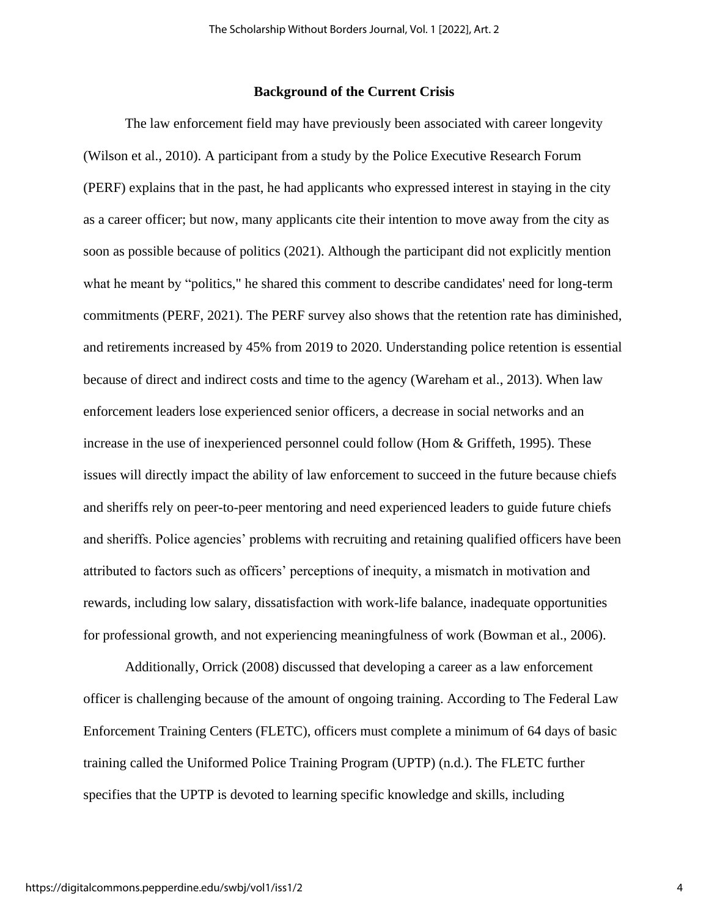# **Background of the Current Crisis**

The law enforcement field may have previously been associated with career longevity (Wilson et al., 2010). A participant from a study by the Police Executive Research Forum (PERF) explains that in the past, he had applicants who expressed interest in staying in the city as a career officer; but now, many applicants cite their intention to move away from the city as soon as possible because of politics (2021). Although the participant did not explicitly mention what he meant by "politics," he shared this comment to describe candidates' need for long-term commitments (PERF, 2021). The PERF survey also shows that the retention rate has diminished, and retirements increased by 45% from 2019 to 2020. Understanding police retention is essential because of direct and indirect costs and time to the agency (Wareham et al., 2013). When law enforcement leaders lose experienced senior officers, a decrease in social networks and an increase in the use of inexperienced personnel could follow (Hom & Griffeth, 1995). These issues will directly impact the ability of law enforcement to succeed in the future because chiefs and sheriffs rely on peer-to-peer mentoring and need experienced leaders to guide future chiefs and sheriffs. Police agencies' problems with recruiting and retaining qualified officers have been attributed to factors such as officers' perceptions of inequity, a mismatch in motivation and rewards, including low salary, dissatisfaction with work-life balance, inadequate opportunities for professional growth, and not experiencing meaningfulness of work (Bowman et al., 2006).

Additionally, Orrick (2008) discussed that developing a career as a law enforcement officer is challenging because of the amount of ongoing training. According to The Federal Law Enforcement Training Centers (FLETC), officers must complete a minimum of 64 days of basic training called the Uniformed Police Training Program (UPTP) (n.d.). The FLETC further specifies that the UPTP is devoted to learning specific knowledge and skills, including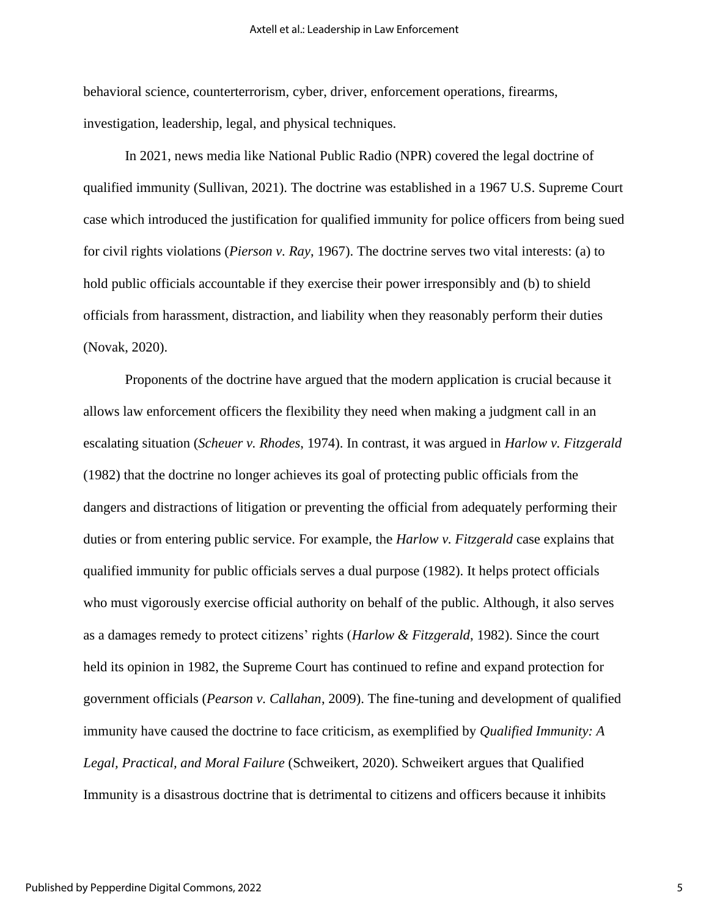behavioral science, counterterrorism, cyber, driver, enforcement operations, firearms, investigation, leadership, legal, and physical techniques.

In 2021, news media like National Public Radio (NPR) covered the legal doctrine of qualified immunity (Sullivan, 2021). The doctrine was established in a 1967 U.S. Supreme Court case which introduced the justification for qualified immunity for police officers from being sued for civil rights violations (*Pierson v. Ray*, 1967). The doctrine serves two vital interests: (a) to hold public officials accountable if they exercise their power irresponsibly and (b) to shield officials from harassment, distraction, and liability when they reasonably perform their duties (Novak, 2020).

Proponents of the doctrine have argued that the modern application is crucial because it allows law enforcement officers the flexibility they need when making a judgment call in an escalating situation (*Scheuer v. Rhodes*, 1974). In contrast, it was argued in *Harlow v. Fitzgerald* (1982) that the doctrine no longer achieves its goal of protecting public officials from the dangers and distractions of litigation or preventing the official from adequately performing their duties or from entering public service. For example, the *Harlow v. Fitzgerald* case explains that qualified immunity for public officials serves a dual purpose (1982). It helps protect officials who must vigorously exercise official authority on behalf of the public. Although, it also serves as a damages remedy to protect citizens' rights (*Harlow & Fitzgerald*, 1982). Since the court held its opinion in 1982, the Supreme Court has continued to refine and expand protection for government officials (*Pearson v. Callahan*, 2009). The fine-tuning and development of qualified immunity have caused the doctrine to face criticism, as exemplified by *Qualified Immunity: A Legal, Practical, and Moral Failure* (Schweikert, 2020). Schweikert argues that Qualified Immunity is a disastrous doctrine that is detrimental to citizens and officers because it inhibits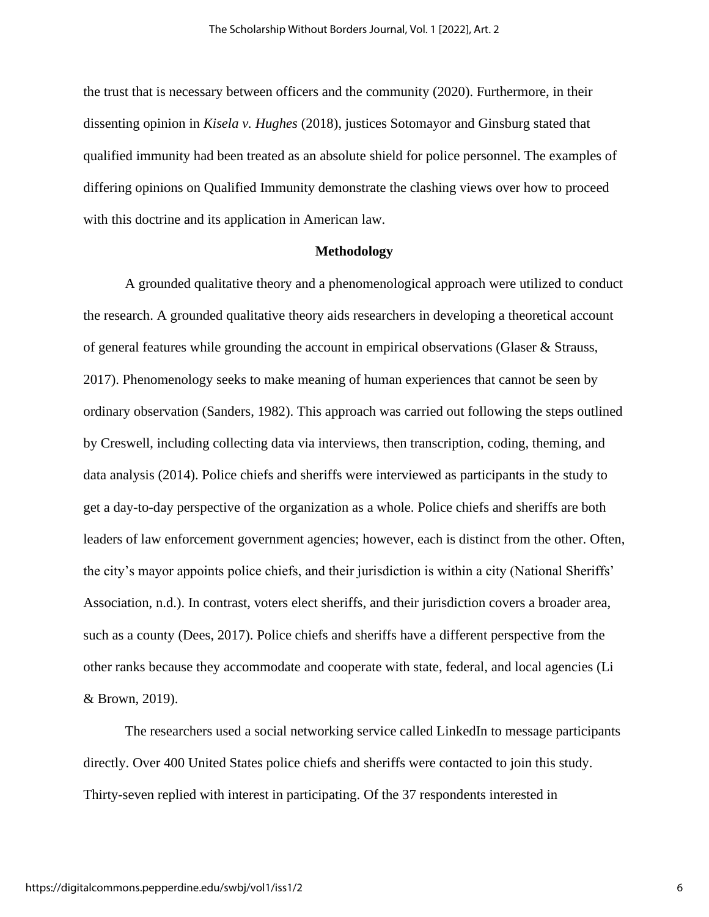the trust that is necessary between officers and the community (2020). Furthermore, in their dissenting opinion in *Kisela v. Hughes* (2018), justices Sotomayor and Ginsburg stated that qualified immunity had been treated as an absolute shield for police personnel. The examples of differing opinions on Qualified Immunity demonstrate the clashing views over how to proceed with this doctrine and its application in American law.

#### **Methodology**

A grounded qualitative theory and a phenomenological approach were utilized to conduct the research. A grounded qualitative theory aids researchers in developing a theoretical account of general features while grounding the account in empirical observations (Glaser & Strauss, 2017). Phenomenology seeks to make meaning of human experiences that cannot be seen by ordinary observation (Sanders, 1982). This approach was carried out following the steps outlined by Creswell, including collecting data via interviews, then transcription, coding, theming, and data analysis (2014). Police chiefs and sheriffs were interviewed as participants in the study to get a day-to-day perspective of the organization as a whole. Police chiefs and sheriffs are both leaders of law enforcement government agencies; however, each is distinct from the other. Often, the city's mayor appoints police chiefs, and their jurisdiction is within a city (National Sheriffs' Association, n.d.). In contrast, voters elect sheriffs, and their jurisdiction covers a broader area, such as a county (Dees, 2017). Police chiefs and sheriffs have a different perspective from the other ranks because they accommodate and cooperate with state, federal, and local agencies (Li & Brown, 2019).

The researchers used a social networking service called LinkedIn to message participants directly. Over 400 United States police chiefs and sheriffs were contacted to join this study. Thirty-seven replied with interest in participating. Of the 37 respondents interested in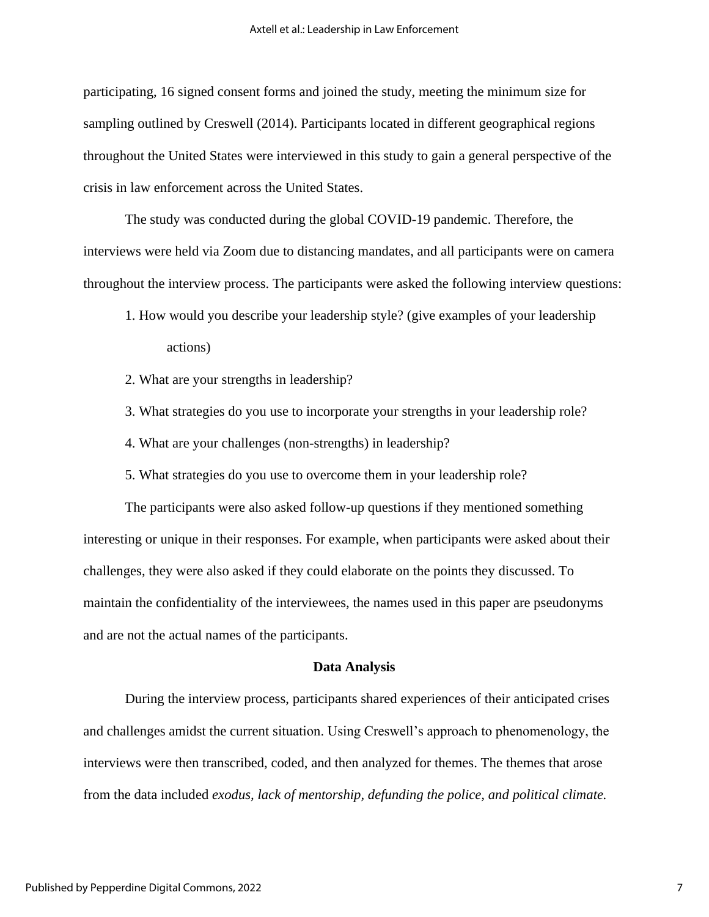participating, 16 signed consent forms and joined the study, meeting the minimum size for sampling outlined by Creswell (2014). Participants located in different geographical regions throughout the United States were interviewed in this study to gain a general perspective of the crisis in law enforcement across the United States.

The study was conducted during the global COVID-19 pandemic. Therefore, the interviews were held via Zoom due to distancing mandates, and all participants were on camera throughout the interview process. The participants were asked the following interview questions:

- 1. How would you describe your leadership style? (give examples of your leadership actions)
- 2. What are your strengths in leadership?
- 3. What strategies do you use to incorporate your strengths in your leadership role?
- 4. What are your challenges (non-strengths) in leadership?
- 5. What strategies do you use to overcome them in your leadership role?

The participants were also asked follow-up questions if they mentioned something interesting or unique in their responses. For example, when participants were asked about their challenges, they were also asked if they could elaborate on the points they discussed. To maintain the confidentiality of the interviewees, the names used in this paper are pseudonyms and are not the actual names of the participants.

#### **Data Analysis**

During the interview process, participants shared experiences of their anticipated crises and challenges amidst the current situation. Using Creswell's approach to phenomenology, the interviews were then transcribed, coded, and then analyzed for themes. The themes that arose from the data included *exodus, lack of mentorship, defunding the police, and political climate.*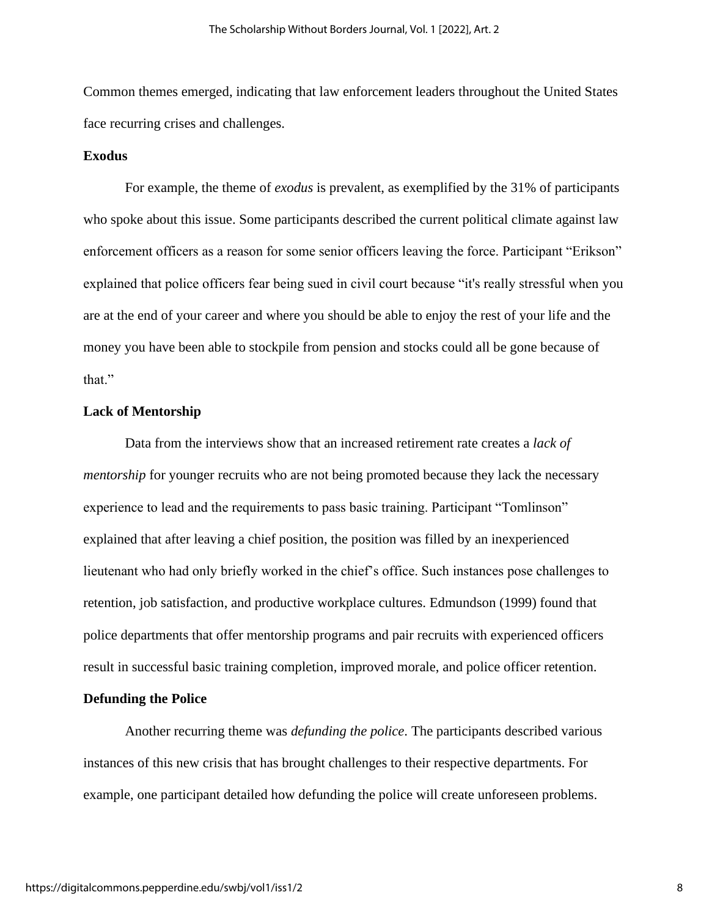Common themes emerged, indicating that law enforcement leaders throughout the United States face recurring crises and challenges.

#### **Exodus**

For example, the theme of *exodus* is prevalent, as exemplified by the 31% of participants who spoke about this issue. Some participants described the current political climate against law enforcement officers as a reason for some senior officers leaving the force. Participant "Erikson" explained that police officers fear being sued in civil court because "it's really stressful when you are at the end of your career and where you should be able to enjoy the rest of your life and the money you have been able to stockpile from pension and stocks could all be gone because of that."

#### **Lack of Mentorship**

Data from the interviews show that an increased retirement rate creates a *lack of mentorship* for younger recruits who are not being promoted because they lack the necessary experience to lead and the requirements to pass basic training. Participant "Tomlinson" explained that after leaving a chief position, the position was filled by an inexperienced lieutenant who had only briefly worked in the chief's office. Such instances pose challenges to retention, job satisfaction, and productive workplace cultures. Edmundson (1999) found that police departments that offer mentorship programs and pair recruits with experienced officers result in successful basic training completion, improved morale, and police officer retention.

# **Defunding the Police**

Another recurring theme was *defunding the police*. The participants described various instances of this new crisis that has brought challenges to their respective departments. For example, one participant detailed how defunding the police will create unforeseen problems.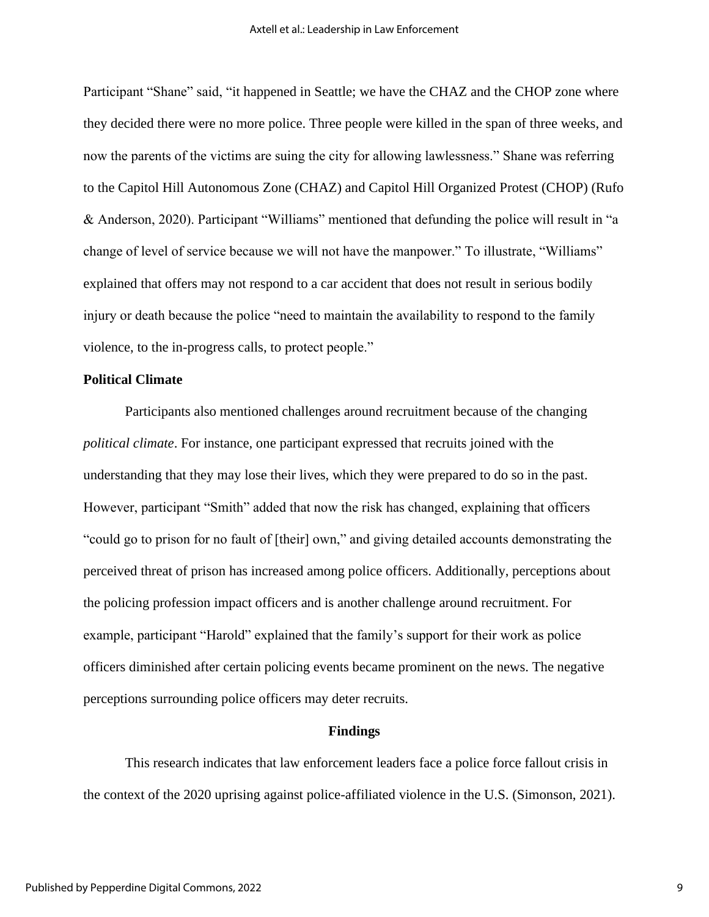Participant "Shane" said, "it happened in Seattle; we have the CHAZ and the CHOP zone where they decided there were no more police. Three people were killed in the span of three weeks, and now the parents of the victims are suing the city for allowing lawlessness." Shane was referring to the Capitol Hill Autonomous Zone (CHAZ) and Capitol Hill Organized Protest (CHOP) (Rufo & Anderson, 2020). Participant "Williams" mentioned that defunding the police will result in "a change of level of service because we will not have the manpower." To illustrate, "Williams" explained that offers may not respond to a car accident that does not result in serious bodily injury or death because the police "need to maintain the availability to respond to the family violence, to the in-progress calls, to protect people."

#### **Political Climate**

Participants also mentioned challenges around recruitment because of the changing *political climate*. For instance, one participant expressed that recruits joined with the understanding that they may lose their lives, which they were prepared to do so in the past. However, participant "Smith" added that now the risk has changed, explaining that officers "could go to prison for no fault of [their] own," and giving detailed accounts demonstrating the perceived threat of prison has increased among police officers. Additionally, perceptions about the policing profession impact officers and is another challenge around recruitment. For example, participant "Harold" explained that the family's support for their work as police officers diminished after certain policing events became prominent on the news. The negative perceptions surrounding police officers may deter recruits.

#### **Findings**

This research indicates that law enforcement leaders face a police force fallout crisis in the context of the 2020 uprising against police-affiliated violence in the U.S. (Simonson, 2021).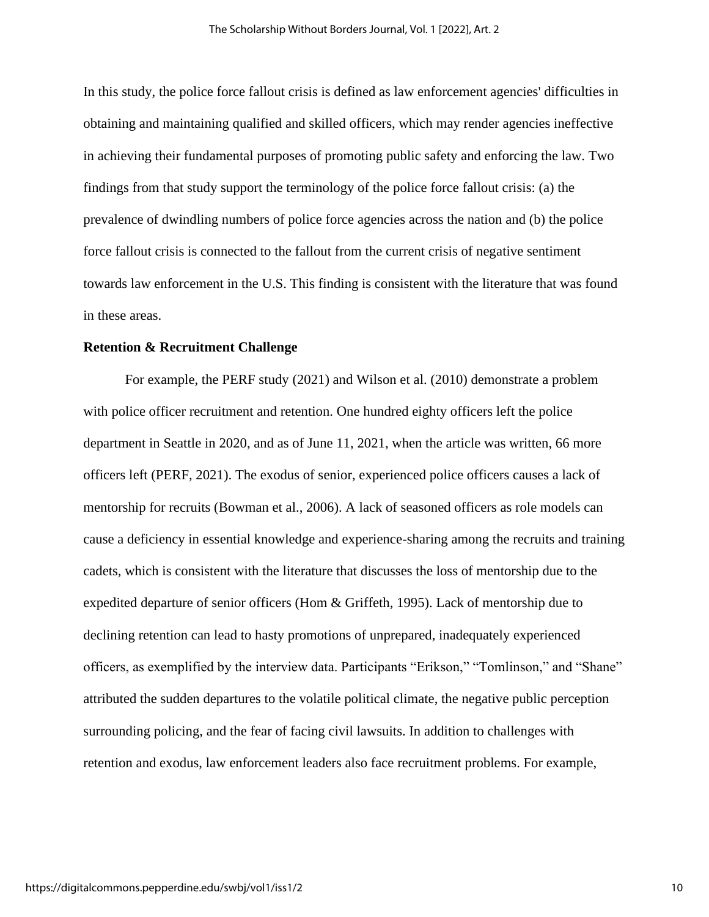In this study, the police force fallout crisis is defined as law enforcement agencies' difficulties in obtaining and maintaining qualified and skilled officers, which may render agencies ineffective in achieving their fundamental purposes of promoting public safety and enforcing the law. Two findings from that study support the terminology of the police force fallout crisis: (a) the prevalence of dwindling numbers of police force agencies across the nation and (b) the police force fallout crisis is connected to the fallout from the current crisis of negative sentiment towards law enforcement in the U.S. This finding is consistent with the literature that was found in these areas.

#### **Retention & Recruitment Challenge**

For example, the PERF study (2021) and Wilson et al. (2010) demonstrate a problem with police officer recruitment and retention. One hundred eighty officers left the police department in Seattle in 2020, and as of June 11, 2021, when the article was written, 66 more officers left (PERF, 2021). The exodus of senior, experienced police officers causes a lack of mentorship for recruits (Bowman et al., 2006). A lack of seasoned officers as role models can cause a deficiency in essential knowledge and experience-sharing among the recruits and training cadets, which is consistent with the literature that discusses the loss of mentorship due to the expedited departure of senior officers (Hom & Griffeth, 1995). Lack of mentorship due to declining retention can lead to hasty promotions of unprepared, inadequately experienced officers, as exemplified by the interview data. Participants "Erikson," "Tomlinson," and "Shane" attributed the sudden departures to the volatile political climate, the negative public perception surrounding policing, and the fear of facing civil lawsuits. In addition to challenges with retention and exodus, law enforcement leaders also face recruitment problems. For example,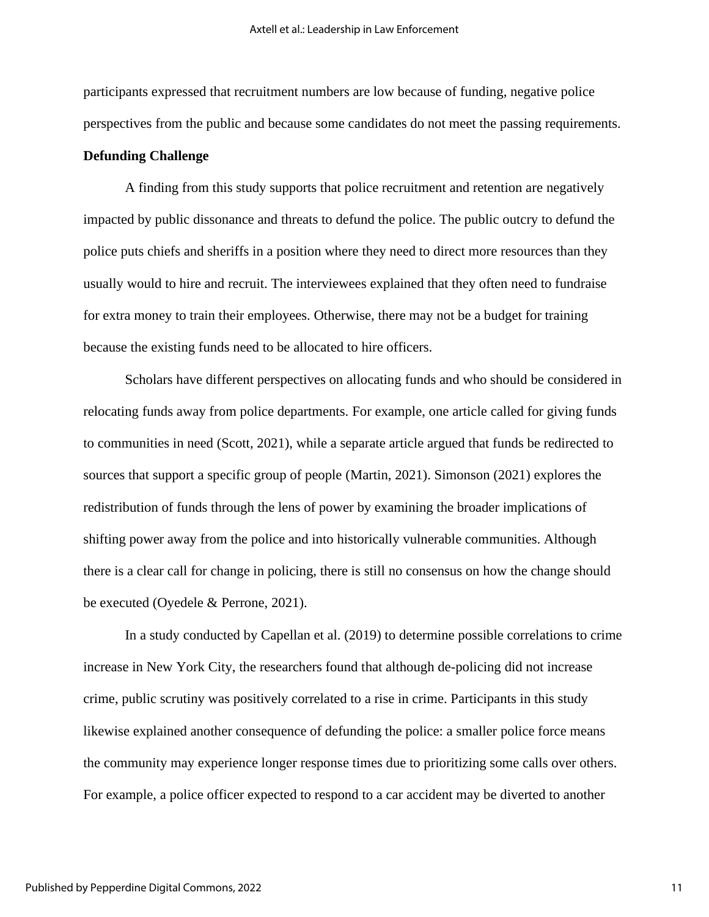participants expressed that recruitment numbers are low because of funding, negative police perspectives from the public and because some candidates do not meet the passing requirements.

#### **Defunding Challenge**

A finding from this study supports that police recruitment and retention are negatively impacted by public dissonance and threats to defund the police. The public outcry to defund the police puts chiefs and sheriffs in a position where they need to direct more resources than they usually would to hire and recruit. The interviewees explained that they often need to fundraise for extra money to train their employees. Otherwise, there may not be a budget for training because the existing funds need to be allocated to hire officers.

Scholars have different perspectives on allocating funds and who should be considered in relocating funds away from police departments. For example, one article called for giving funds to communities in need (Scott, 2021), while a separate article argued that funds be redirected to sources that support a specific group of people (Martin, 2021). Simonson (2021) explores the redistribution of funds through the lens of power by examining the broader implications of shifting power away from the police and into historically vulnerable communities. Although there is a clear call for change in policing, there is still no consensus on how the change should be executed (Oyedele & Perrone, 2021).

In a study conducted by Capellan et al. (2019) to determine possible correlations to crime increase in New York City, the researchers found that although de-policing did not increase crime, public scrutiny was positively correlated to a rise in crime. Participants in this study likewise explained another consequence of defunding the police: a smaller police force means the community may experience longer response times due to prioritizing some calls over others. For example, a police officer expected to respond to a car accident may be diverted to another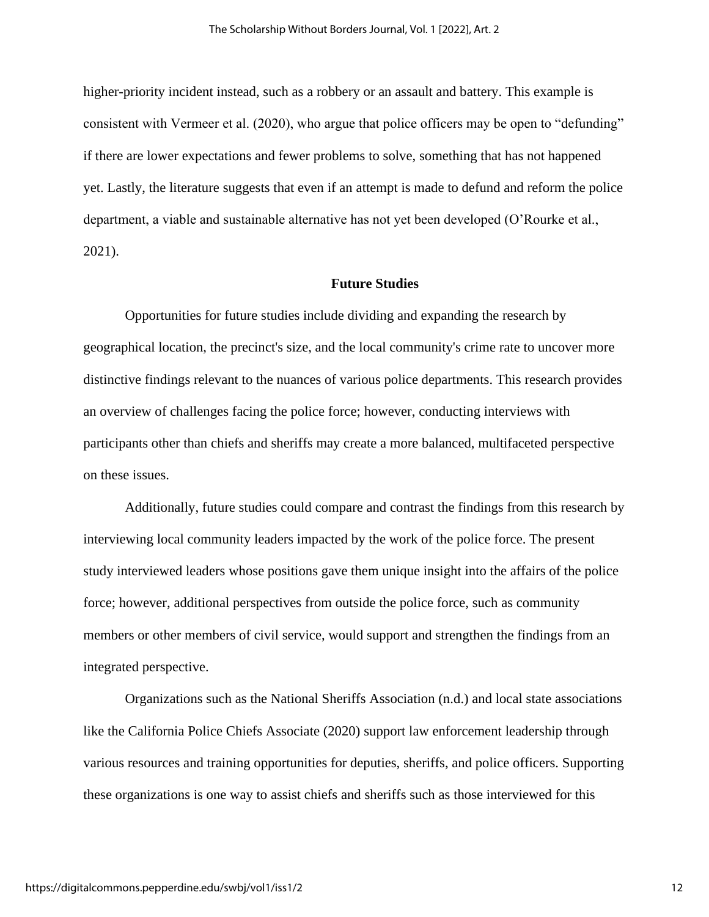higher-priority incident instead, such as a robbery or an assault and battery. This example is consistent with Vermeer et al. (2020), who argue that police officers may be open to "defunding" if there are lower expectations and fewer problems to solve, something that has not happened yet. Lastly, the literature suggests that even if an attempt is made to defund and reform the police department, a viable and sustainable alternative has not yet been developed (O'Rourke et al., 2021).

#### **Future Studies**

Opportunities for future studies include dividing and expanding the research by geographical location, the precinct's size, and the local community's crime rate to uncover more distinctive findings relevant to the nuances of various police departments. This research provides an overview of challenges facing the police force; however, conducting interviews with participants other than chiefs and sheriffs may create a more balanced, multifaceted perspective on these issues.

Additionally, future studies could compare and contrast the findings from this research by interviewing local community leaders impacted by the work of the police force. The present study interviewed leaders whose positions gave them unique insight into the affairs of the police force; however, additional perspectives from outside the police force, such as community members or other members of civil service, would support and strengthen the findings from an integrated perspective.

Organizations such as the National Sheriffs Association (n.d.) and local state associations like the California Police Chiefs Associate (2020) support law enforcement leadership through various resources and training opportunities for deputies, sheriffs, and police officers. Supporting these organizations is one way to assist chiefs and sheriffs such as those interviewed for this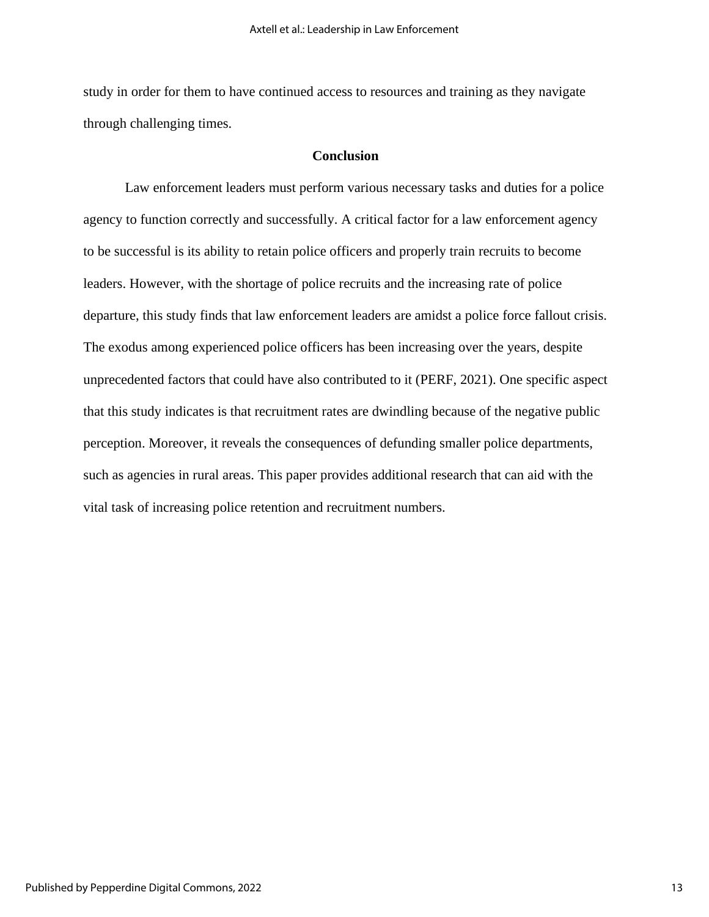study in order for them to have continued access to resources and training as they navigate through challenging times.

# **Conclusion**

Law enforcement leaders must perform various necessary tasks and duties for a police agency to function correctly and successfully. A critical factor for a law enforcement agency to be successful is its ability to retain police officers and properly train recruits to become leaders. However, with the shortage of police recruits and the increasing rate of police departure, this study finds that law enforcement leaders are amidst a police force fallout crisis. The exodus among experienced police officers has been increasing over the years, despite unprecedented factors that could have also contributed to it (PERF, 2021). One specific aspect that this study indicates is that recruitment rates are dwindling because of the negative public perception. Moreover, it reveals the consequences of defunding smaller police departments, such as agencies in rural areas. This paper provides additional research that can aid with the vital task of increasing police retention and recruitment numbers.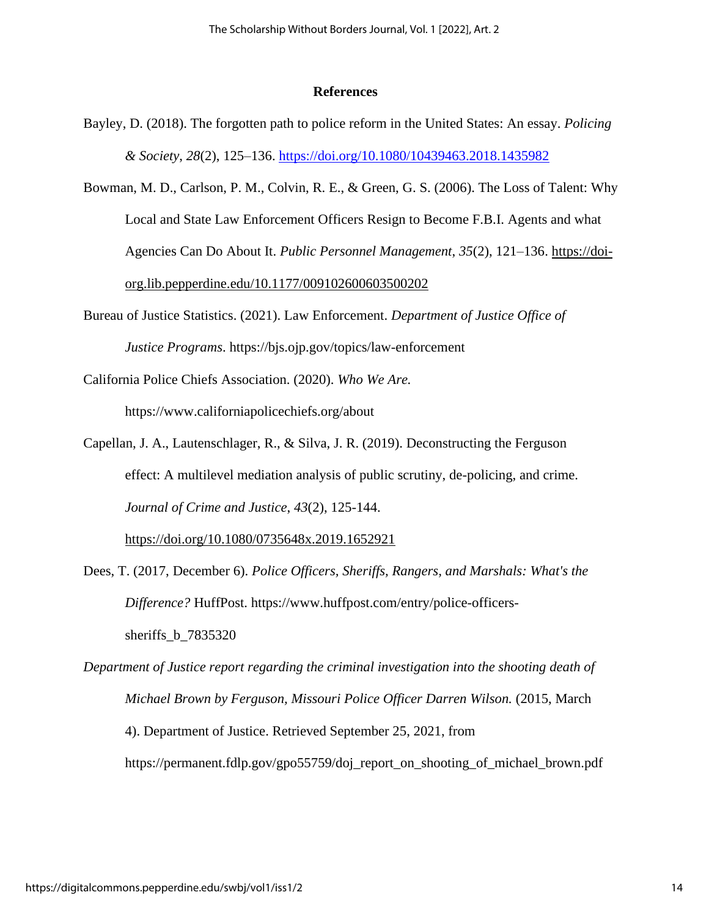#### **References**

- Bayley, D. (2018). The forgotten path to police reform in the United States: An essay. *Policing & Society*, *28*(2), 125–136.<https://doi.org/10.1080/10439463.2018.1435982>
- Bowman, M. D., Carlson, P. M., Colvin, R. E., & Green, G. S. (2006). The Loss of Talent: Why Local and State Law Enforcement Officers Resign to Become F.B.I. Agents and what Agencies Can Do About It. *Public Personnel Management*, *35*(2), 121–136. https://doiorg.lib.pepperdine.edu/10.1177/009102600603500202
- Bureau of Justice Statistics. (2021). Law Enforcement. *Department of Justice Office of Justice Programs*. https://bjs.ojp.gov/topics/law-enforcement
- California Police Chiefs Association. (2020). *Who We Are.*  https://www.californiapolicechiefs.org/about
- Capellan, J. A., Lautenschlager, R., & Silva, J. R. (2019). Deconstructing the Ferguson effect: A multilevel mediation analysis of public scrutiny, de-policing, and crime. *Journal of Crime and Justice*, *43*(2), 125-144[.](https://doi.org/10.1080/0735648x.2019.1652921)

<https://doi.org/10.1080/0735648x.2019.1652921>

Dees, T. (2017, December 6). *Police Officers, Sheriffs, Rangers, and Marshals: What's the Difference?* HuffPost. https://www.huffpost.com/entry/police-officerssheriffs\_b\_7835320

*Department of Justice report regarding the criminal investigation into the shooting death of Michael Brown by Ferguson, Missouri Police Officer Darren Wilson.* (2015, March 4). Department of Justice. Retrieved September 25, 2021, from https://permanent.fdlp.gov/gpo55759/doj\_report\_on\_shooting\_of\_michael\_brown.pdf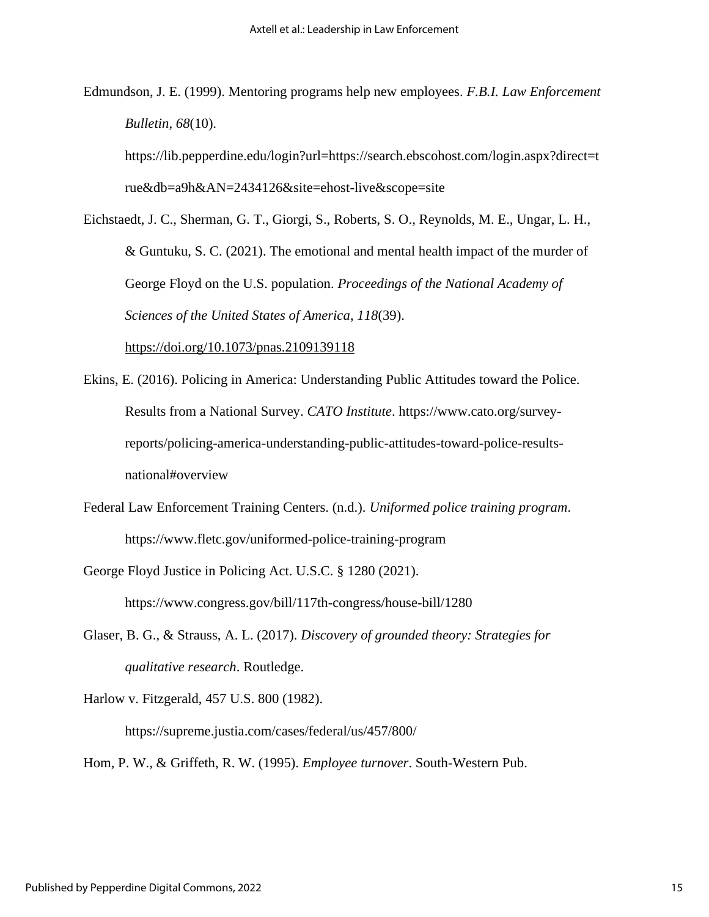Edmundson, J. E. (1999). Mentoring programs help new employees. *F.B.I. Law Enforcement Bulletin, 68*(10).

https://lib.pepperdine.edu/login?url=https://search.ebscohost.com/login.aspx?direct=t rue&db=a9h&AN=2434126&site=ehost-live&scope=site

Eichstaedt, J. C., Sherman, G. T., Giorgi, S., Roberts, S. O., Reynolds, M. E., Ungar, L. H., & Guntuku, S. C. (2021). The emotional and mental health impact of the murder of George Floyd on the U.S. population. *Proceedings of the National Academy of Sciences of the United States of America*, *118*(39)[.](https://doi.org/10.1073/pnas.2109139118)

<https://doi.org/10.1073/pnas.2109139118>

- Ekins, E. (2016). Policing in America: Understanding Public Attitudes toward the Police. Results from a National Survey. *CATO Institute*. https://www.cato.org/surveyreports/policing-america-understanding-public-attitudes-toward-police-resultsnational#overview
- Federal Law Enforcement Training Centers. (n.d.). *Uniformed police training program*. https://www.fletc.gov/uniformed-police-training-program
- George Floyd Justice in Policing Act. U.S.C. § 1280 (2021). https://www.congress.gov/bill/117th-congress/house-bill/1280
- Glaser, B. G., & Strauss, A. L. (2017). *Discovery of grounded theory: Strategies for qualitative research*. Routledge.
- Harlow v. Fitzgerald, 457 U.S. 800 (1982).

https://supreme.justia.com/cases/federal/us/457/800/

Hom, P. W., & Griffeth, R. W. (1995). *Employee turnover*. South-Western Pub.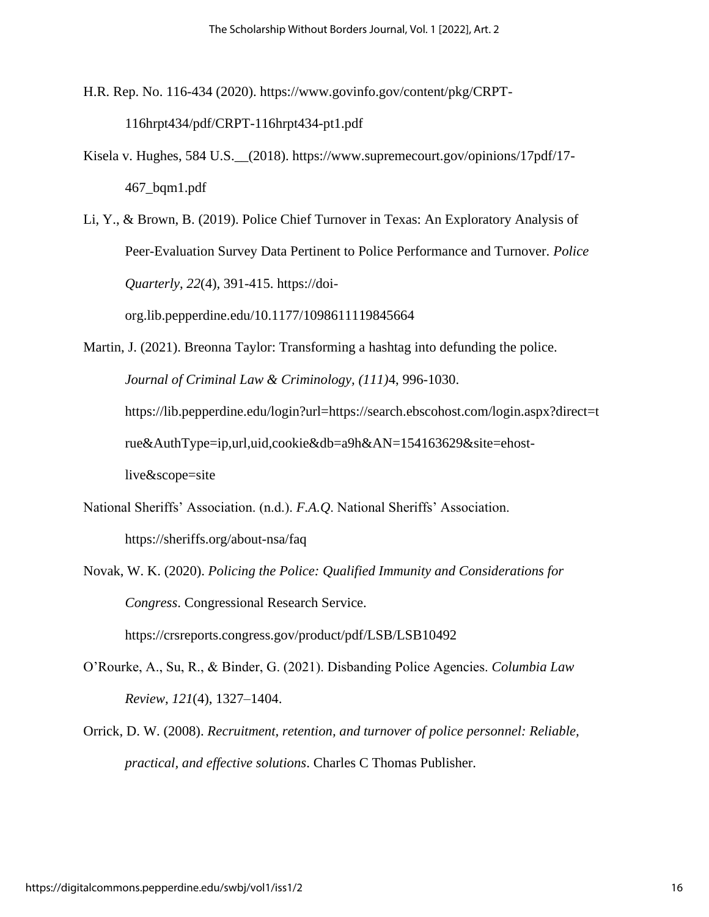H.R. Rep. No. 116-434 (2020). https://www.govinfo.gov/content/pkg/CRPT-

116hrpt434/pdf/CRPT-116hrpt434-pt1.pdf

- Kisela v. Hughes, 584 U.S.\_\_(2018). https://www.supremecourt.gov/opinions/17pdf/17- 467\_bqm1.pdf
- Li, Y., & Brown, B. (2019). Police Chief Turnover in Texas: An Exploratory Analysis of Peer-Evaluation Survey Data Pertinent to Police Performance and Turnover. *Police Quarterly*, *22*(4), 391-415. https://doi-

org.lib.pepperdine.edu/10.1177/1098611119845664

- Martin, J. (2021). Breonna Taylor: Transforming a hashtag into defunding the police. *Journal of Criminal Law & Criminology, (111)*4, 996-1030. https://lib.pepperdine.edu/login?url=https://search.ebscohost.com/login.aspx?direct=t rue&AuthType=ip,url,uid,cookie&db=a9h&AN=154163629&site=ehostlive&scope=site
- National Sheriffs' Association. (n.d.). *F.A.Q*. National Sheriffs' Association. https://sheriffs.org/about-nsa/faq
- Novak, W. K. (2020). *Policing the Police: Qualified Immunity and Considerations for Congress*. Congressional Research Service. https://crsreports.congress.gov/product/pdf/LSB/LSB10492
- O'Rourke, A., Su, R., & Binder, G. (2021). Disbanding Police Agencies. *Columbia Law Review*, *121*(4), 1327–1404.
- Orrick, D. W. (2008). *Recruitment, retention, and turnover of police personnel: Reliable, practical, and effective solutions*. Charles C Thomas Publisher.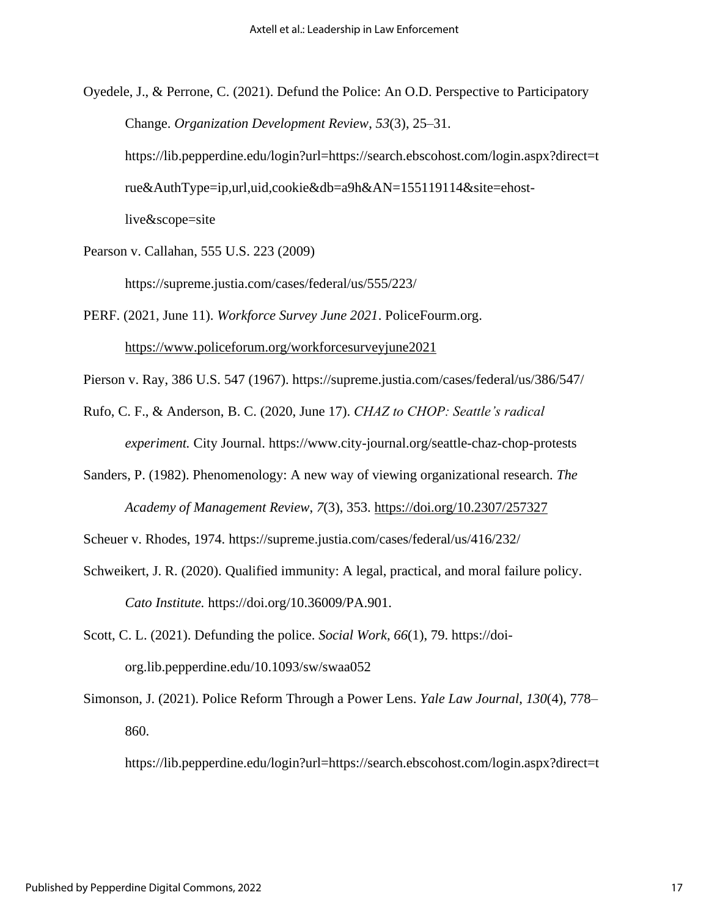Oyedele, J., & Perrone, C. (2021). Defund the Police: An O.D. Perspective to Participatory Change. *Organization Development Review*, *53*(3), 25–31. https://lib.pepperdine.edu/login?url=https://search.ebscohost.com/login.aspx?direct=t rue&AuthType=ip,url,uid,cookie&db=a9h&AN=155119114&site=ehostlive&scope=site

Pearson v. Callahan, 555 U.S. 223 (2009)

https://supreme.justia.com/cases/federal/us/555/223/

PERF. (2021, June 11). *Workforce Survey June 2021*. PoliceFourm.org[.](https://www.policeforum.org/workforcesurveyjune2021) <https://www.policeforum.org/workforcesurveyjune2021>

Pierson v. Ray, 386 U.S. 547 (1967). https://supreme.justia.com/cases/federal/us/386/547/

Rufo, C. F., & Anderson, B. C. (2020, June 17). *CHAZ to CHOP: Seattle's radical experiment.* City Journal. https://www.city-journal.org/seattle-chaz-chop-protests

Sanders, P. (1982). Phenomenology: A new way of viewing organizational research. *The Academy of Management Review*, *7*(3), 353. <https://doi.org/10.2307/257327>

Scheuer v. Rhodes, 1974. https://supreme.justia.com/cases/federal/us/416/232/

- Schweikert, J. R. (2020). Qualified immunity: A legal, practical, and moral failure policy. *Cato Institute.* [https://doi.org/10.36009/PA.901.](https://www.cato.org/publications/policy-analysis/qualified-immunity-legal-practical-moral-failure)
- Scott, C. L. (2021). Defunding the police. *Social Work*, *66*(1), 79. https://doiorg.lib.pepperdine.edu/10.1093/sw/swaa052

Simonson, J. (2021). Police Reform Through a Power Lens. *Yale Law Journal*, *130*(4), 778– 860.

https://lib.pepperdine.edu/login?url=https://search.ebscohost.com/login.aspx?direct=t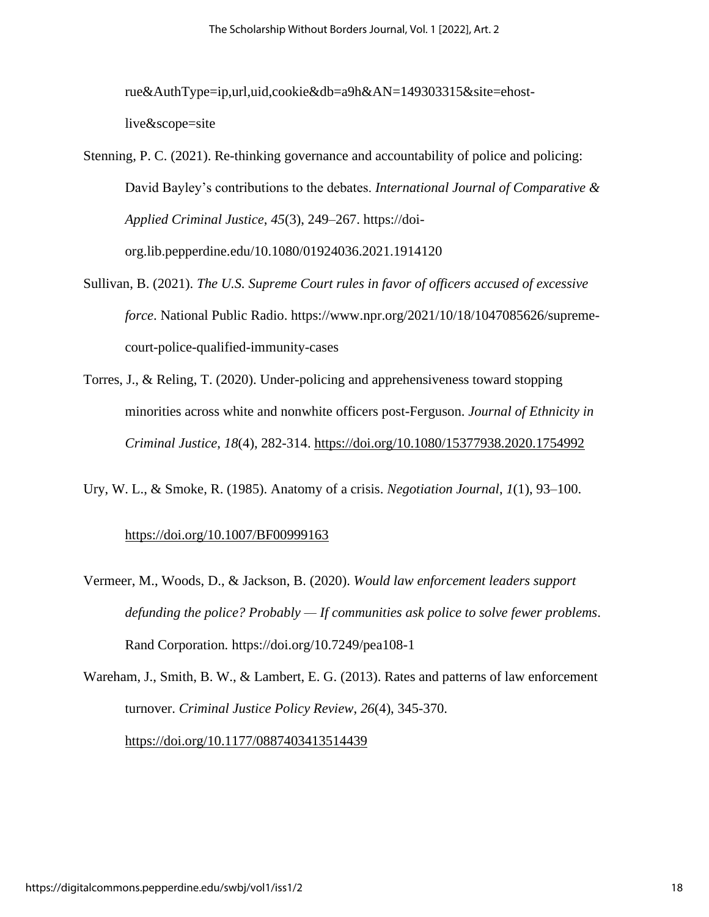rue&AuthType=ip,url,uid,cookie&db=a9h&AN=149303315&site=ehostlive&scope=site

- Stenning, P. C. (2021). Re-thinking governance and accountability of police and policing: David Bayley's contributions to the debates. *International Journal of Comparative & Applied Criminal Justice*, *45*(3), 249–267. https://doiorg.lib.pepperdine.edu/10.1080/01924036.2021.1914120
- Sullivan, B. (2021). *The U.S. Supreme Court rules in favor of officers accused of excessive force*. National Public Radio. https://www.npr.org/2021/10/18/1047085626/supremecourt-police-qualified-immunity-cases
- Torres, J., & Reling, T. (2020). Under-policing and apprehensiveness toward stopping minorities across white and nonwhite officers post-Ferguson. *Journal of Ethnicity in Criminal Justice*, *18*(4), 282-314[.](https://doi.org/10.1080/15377938.2020.1754992) <https://doi.org/10.1080/15377938.2020.1754992>
- Ury, W. L., & Smoke, R. (1985). Anatomy of a crisis. *Negotiation Journal*, *1*(1), 93–100.

# <https://doi.org/10.1007/BF00999163>

Vermeer, M., Woods, D., & Jackson, B. (2020). *Would law enforcement leaders support defunding the police? Probably — If communities ask police to solve fewer problems*. Rand Corporation*.* <https://doi.org/10.7249/pea108-1>

Wareham, J., Smith, B. W., & Lambert, E. G. (2013). Rates and patterns of law enforcement turnover. *Criminal Justice Policy Review*, *26*(4), 345-370[.](https://doi.org/10.1177/0887403413514439) <https://doi.org/10.1177/0887403413514439>